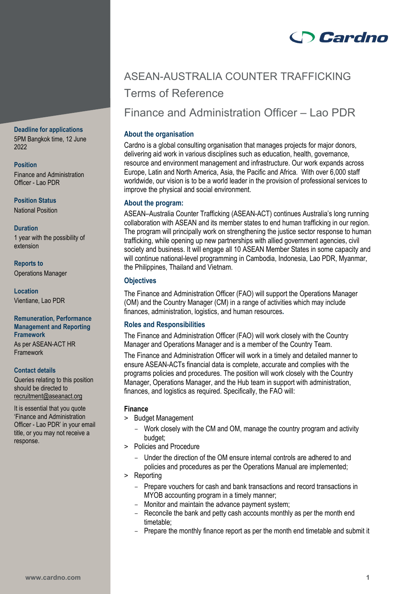# **Cardno**

# ASEAN-AUSTRALIA COUNTER TRAFFICKING Terms of Reference

Finance and Administration Officer – Lao PDR

# **About the organisation**

Cardno is a global consulting organisation that manages projects for major donors, delivering aid work in various disciplines such as education, health, governance, resource and environment management and infrastructure. Our work expands across Europe, Latin and North America, Asia, the Pacific and Africa. With over 6,000 staff worldwide, our vision is to be a world leader in the provision of professional services to improve the physical and social environment.

# **About the program:**

ASEAN–Australia Counter Trafficking (ASEAN-ACT) continues Australia's long running collaboration with ASEAN and its member states to end human trafficking in our region. The program will principally work on strengthening the justice sector response to human trafficking, while opening up new partnerships with allied government agencies, civil society and business. It will engage all 10 ASEAN Member States in some capacity and will continue national-level programming in Cambodia, Indonesia, Lao PDR, Myanmar, the Philippines, Thailand and Vietnam.

# **Objectives**

The Finance and Administration Officer (FAO) will support the Operations Manager (OM) and the Country Manager (CM) in a range of activities which may include finances, administration, logistics, and human resources**.** 

# **Roles and Responsibilities**

The Finance and Administration Officer (FAO) will work closely with the Country Manager and Operations Manager and is a member of the Country Team.

The Finance and Administration Officer will work in a timely and detailed manner to ensure ASEAN-ACTs financial data is complete, accurate and complies with the programs policies and procedures. The position will work closely with the Country Manager, Operations Manager, and the Hub team in support with administration, finances, and logistics as required. Specifically, the FAO will:

## **Finance**

- > Budget Management
	- Work closely with the CM and OM, manage the country program and activity budget:
- > Policies and Procedure
	- Under the direction of the OM ensure internal controls are adhered to and policies and procedures as per the Operations Manual are implemented;
- > Reporting
	- Prepare vouchers for cash and bank transactions and record transactions in MYOB accounting program in a timely manner;
	- Monitor and maintain the advance payment system;
	- Reconcile the bank and petty cash accounts monthly as per the month end timetable;
	- Prepare the monthly finance report as per the month end timetable and submit it

# **Deadline for applications**

5PM Bangkok time, 12 June 2022

**Position** Finance and Administration Officer - Lao PDR

**Position Status** National Position

## **Duration**

1 year with the possibility of extension

**Reports to** Operations Manager

**Location** Vientiane, Lao PDR

## **Remuneration, Performance Management and Reporting Framework**

As per ASEAN-ACT HR Framework

#### **Contact details**

Queries relating to this position should be directed to [recruitment@aseanact.org](mailto:recruitment@aseanact.org) 

It is essential that you quote 'Finance and Administration Officer - Lao PDR' in your email title, or you may not receive a response.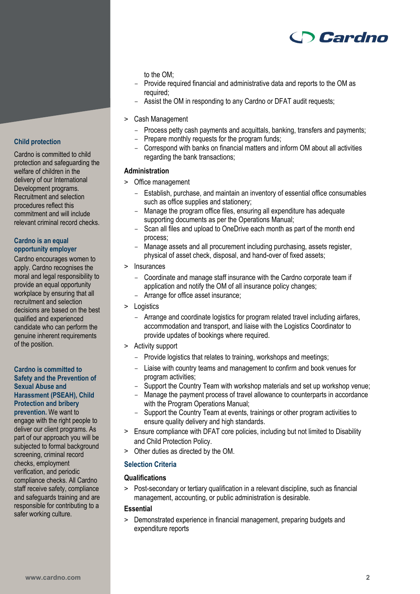

## to the OM;

- Provide required financial and administrative data and reports to the OM as required;
- Assist the OM in responding to any Cardno or DFAT audit requests;
- > Cash Management
	- Process petty cash payments and acquittals, banking, transfers and payments;
	- Prepare monthly requests for the program funds;
	- Correspond with banks on financial matters and inform OM about all activities regarding the bank transactions;

#### **Administration**

- > Office management
	- Establish, purchase, and maintain an inventory of essential office consumables such as office supplies and stationery;
	- Manage the program office files, ensuring all expenditure has adequate supporting documents as per the Operations Manual;
	- Scan all files and upload to OneDrive each month as part of the month end process;
	- Manage assets and all procurement including purchasing, assets register, physical of asset check, disposal, and hand-over of fixed assets;
- > Insurances
	- Coordinate and manage staff insurance with the Cardno corporate team if application and notify the OM of all insurance policy changes;
	- Arrange for office asset insurance;
- > Logistics
	- Arrange and coordinate logistics for program related travel including airfares, accommodation and transport, and liaise with the Logistics Coordinator to provide updates of bookings where required.
- > Activity support
	- Provide logistics that relates to training, workshops and meetings;
	- Liaise with country teams and management to confirm and book venues for program activities;
	- Support the Country Team with workshop materials and set up workshop venue;
	- Manage the payment process of travel allowance to counterparts in accordance with the Program Operations Manual:
	- Support the Country Team at events, trainings or other program activities to ensure quality delivery and high standards.
- > Ensure compliance with DFAT core policies, including but not limited to Disability and Child Protection Policy.
- > Other duties as directed by the OM.

## **Selection Criteria**

## **Qualifications**

> Post-secondary or tertiary qualification in a relevant discipline, such as financial management, accounting, or public administration is desirable.

## **Essential**

> Demonstrated experience in financial management, preparing budgets and expenditure reports

## **Child protection**

Cardno is committed to child protection and safeguarding the welfare of children in the delivery of our International Development programs. Recruitment and selection procedures reflect this commitment and will include relevant criminal record checks.

### **Cardno is an equal opportunity employer**

Cardno encourages women to apply. Cardno recognises the moral and legal responsibility to provide an equal opportunity workplace by ensuring that all recruitment and selection decisions are based on the best qualified and experienced candidate who can perform the genuine inherent requirements of the position.

#### **Cardno is committed to Safety and the Prevention of Sexual Abuse and Harassment (PSEAH), Child Protection and bribery**

**prevention.** We want to engage with the right people to deliver our client programs. As part of our approach you will be subjected to formal background screening, criminal record checks, employment verification, and periodic compliance checks. All Cardno staff receive safety, compliance and safeguards training and are responsible for contributing to a safer working culture.